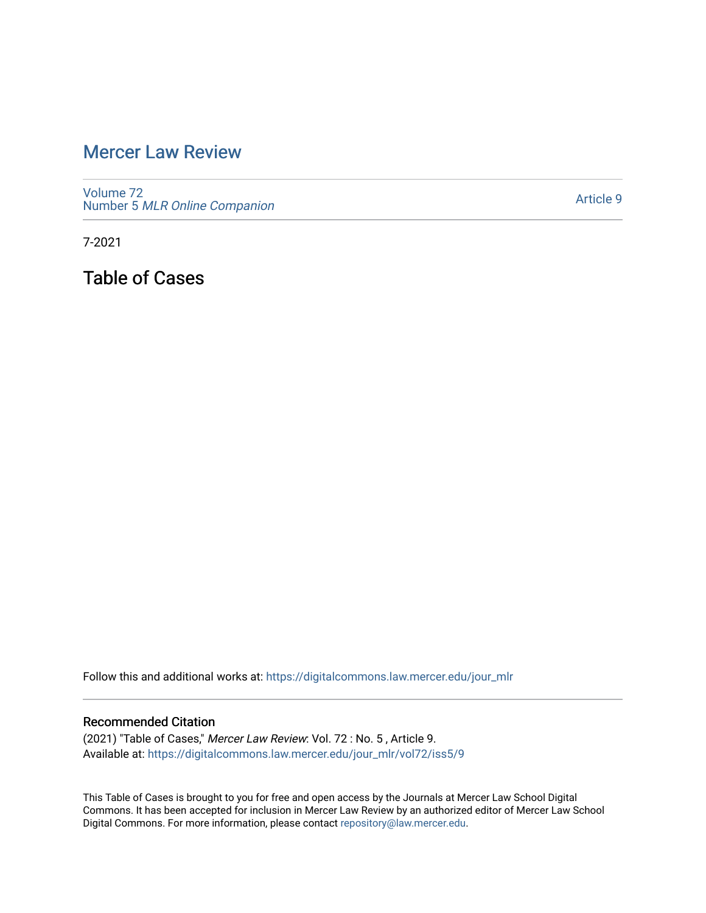## [Mercer Law Review](https://digitalcommons.law.mercer.edu/jour_mlr)

[Volume 72](https://digitalcommons.law.mercer.edu/jour_mlr/vol72) Number 5 [MLR Online Companion](https://digitalcommons.law.mercer.edu/jour_mlr/vol72/iss5) 

[Article 9](https://digitalcommons.law.mercer.edu/jour_mlr/vol72/iss5/9) 

7-2021

Table of Cases

Follow this and additional works at: [https://digitalcommons.law.mercer.edu/jour\\_mlr](https://digitalcommons.law.mercer.edu/jour_mlr?utm_source=digitalcommons.law.mercer.edu%2Fjour_mlr%2Fvol72%2Fiss5%2F9&utm_medium=PDF&utm_campaign=PDFCoverPages)

## Recommended Citation

(2021) "Table of Cases," Mercer Law Review: Vol. 72 : No. 5 , Article 9. Available at: [https://digitalcommons.law.mercer.edu/jour\\_mlr/vol72/iss5/9](https://digitalcommons.law.mercer.edu/jour_mlr/vol72/iss5/9?utm_source=digitalcommons.law.mercer.edu%2Fjour_mlr%2Fvol72%2Fiss5%2F9&utm_medium=PDF&utm_campaign=PDFCoverPages)

This Table of Cases is brought to you for free and open access by the Journals at Mercer Law School Digital Commons. It has been accepted for inclusion in Mercer Law Review by an authorized editor of Mercer Law School Digital Commons. For more information, please contact [repository@law.mercer.edu](mailto:repository@law.mercer.edu).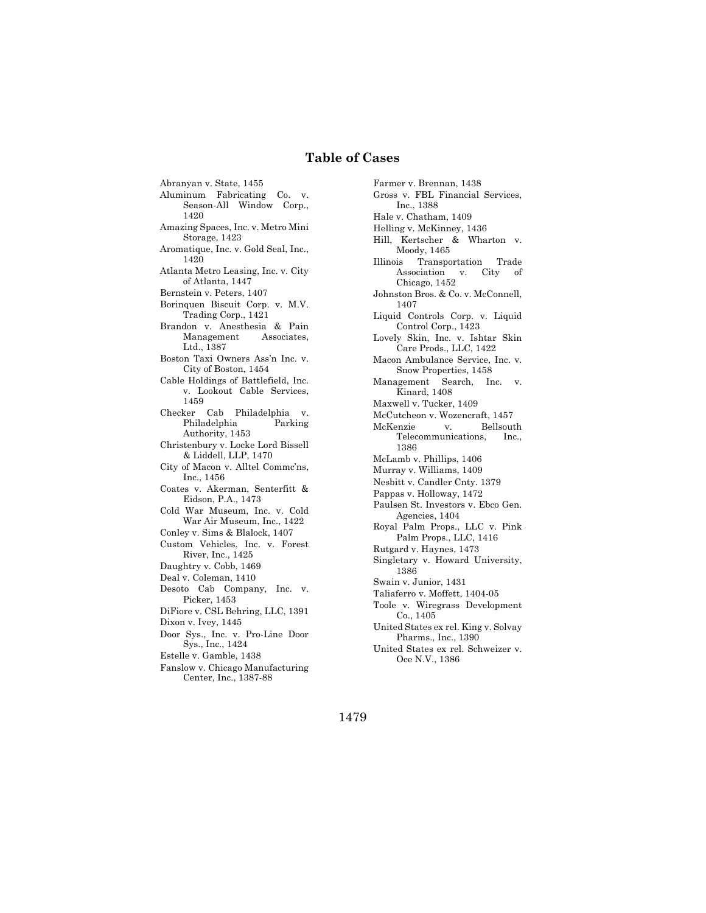## **Table of Cases**

Abranyan v. State, 1455 Aluminum Fabricating Co. v. Season-All Window Corp., 1420 Amazing Spaces, Inc. v. Metro Mini Storage, 1423 Aromatique, Inc. v. Gold Seal, Inc., 1420 Atlanta Metro Leasing, Inc. v. City of Atlanta, 1447 Bernstein v. Peters, 1407 Borinquen Biscuit Corp. v. M.V. Trading Corp., 1421 Brandon v. Anesthesia & Pain Management Associates, Ltd., 1387 Boston Taxi Owners Ass'n Inc. v. City of Boston, 1454 Cable Holdings of Battlefield, Inc. v. Lookout Cable Services, 1459 Checker Cab Philadelphia v. Philadelphia Authority, 1453 Christenbury v. Locke Lord Bissell & Liddell, LLP, 1470 City of Macon v. Alltel Commc'ns, Inc., 1456 Coates v. Akerman, Senterfitt & Eidson, P.A., 1473 Cold War Museum, Inc. v. Cold War Air Museum, Inc., 1422 Conley v. Sims & Blalock, 1407 Custom Vehicles, Inc. v. Forest River, Inc., 1425 Daughtry v. Cobb, 1469 Deal v. Coleman, 1410 Desoto Cab Company, Inc. v. Picker, 1453 DiFiore v. CSL Behring, LLC, 1391 Dixon v. Ivey, 1445 Door Sys., Inc. v. Pro-Line Door Sys., Inc., 1424 Estelle v. Gamble, 1438 Fanslow v. Chicago Manufacturing Center, Inc., 1387-88

Farmer v. Brennan, 1438 Gross v. FBL Financial Services, Inc., 1388 Hale v. Chatham, 1409 Helling v. McKinney, 1436 Hill, Kertscher & Wharton v. Moody, 1465 Illinois Transportation Trade Association v. City of Chicago, 1452 Johnston Bros. & Co. v. McConnell, 1407 Liquid Controls Corp. v. Liquid Control Corp., 1423 Lovely Skin, Inc. v. Ishtar Skin Care Prods., LLC, 1422 Macon Ambulance Service, Inc. v. Snow Properties, 1458 Management Search, Inc. v. Kinard, 1408 Maxwell v. Tucker, 1409 McCutcheon v. Wozencraft, 1457 McKenzie v. Bellsouth Telecommunications, Inc., 1386 McLamb v. Phillips, 1406 Murray v. Williams, 1409 Nesbitt v. Candler Cnty. 1379 Pappas v. Holloway, 1472 Paulsen St. Investors v. Ebco Gen. Agencies, 1404 Royal Palm Props., LLC v. Pink Palm Props., LLC, 1416 Rutgard v. Haynes, 1473 Singletary v. Howard University, 1386 Swain v. Junior, 1431 Taliaferro v. Moffett, 1404-05 Toole v. Wiregrass Development Co., 1405 United States ex rel. King v. Solvay Pharms., Inc., 1390 United States ex rel. Schweizer v. Oce N.V., 1386

1479